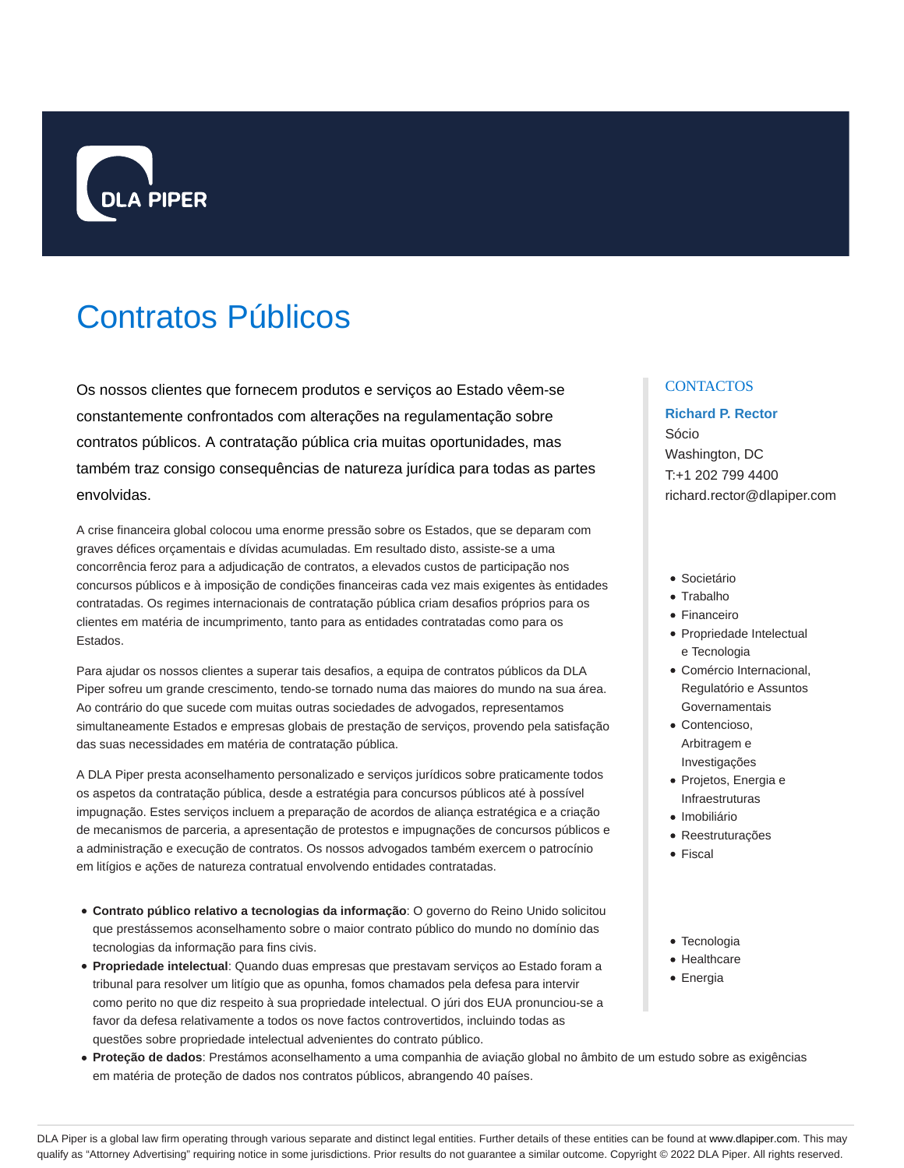

# Contratos Públicos

Os nossos clientes que fornecem produtos e serviços ao Estado vêem-se constantemente confrontados com alterações na regulamentação sobre contratos públicos. A contratação pública cria muitas oportunidades, mas também traz consigo consequências de natureza jurídica para todas as partes envolvidas.

A crise financeira global colocou uma enorme pressão sobre os Estados, que se deparam com graves défices orçamentais e dívidas acumuladas. Em resultado disto, assiste-se a uma concorrência feroz para a adjudicação de contratos, a elevados custos de participação nos concursos públicos e à imposição de condições financeiras cada vez mais exigentes às entidades contratadas. Os regimes internacionais de contratação pública criam desafios próprios para os clientes em matéria de incumprimento, tanto para as entidades contratadas como para os Estados.

Para ajudar os nossos clientes a superar tais desafios, a equipa de contratos públicos da DLA Piper sofreu um grande crescimento, tendo-se tornado numa das maiores do mundo na sua área. Ao contrário do que sucede com muitas outras sociedades de advogados, representamos simultaneamente Estados e empresas globais de prestação de serviços, provendo pela satisfação das suas necessidades em matéria de contratação pública.

A DLA Piper presta aconselhamento personalizado e serviços jurídicos sobre praticamente todos os aspetos da contratação pública, desde a estratégia para concursos públicos até à possível impugnação. Estes serviços incluem a preparação de acordos de aliança estratégica e a criação de mecanismos de parceria, a apresentação de protestos e impugnações de concursos públicos e a administração e execução de contratos. Os nossos advogados também exercem o patrocínio em litígios e ações de natureza contratual envolvendo entidades contratadas.

- **Contrato público relativo a tecnologias da informação**: O governo do Reino Unido solicitou que prestássemos aconselhamento sobre o maior contrato público do mundo no domínio das tecnologias da informação para fins civis.
- **Propriedade intelectual**: Quando duas empresas que prestavam serviços ao Estado foram a tribunal para resolver um litígio que as opunha, fomos chamados pela defesa para intervir como perito no que diz respeito à sua propriedade intelectual. O júri dos EUA pronunciou-se a favor da defesa relativamente a todos os nove factos controvertidos, incluindo todas as questões sobre propriedade intelectual advenientes do contrato público.
- **Proteção de dados**: Prestámos aconselhamento a uma companhia de aviação global no âmbito de um estudo sobre as exigências em matéria de proteção de dados nos contratos públicos, abrangendo 40 países.

#### **CONTACTOS**

# **Richard P. Rector** Sócio Washington, DC

T:+1 202 799 4400 richard.rector@dlapiper.com

- · Societário
- Trabalho
- Financeiro
- Propriedade Intelectual e Tecnologia
- Comércio Internacional, Regulatório e Assuntos Governamentais
- Contencioso, Arbitragem e Investigações
- Projetos, Energia e Infraestruturas
- · Imobiliário
- Reestruturações
- Fiscal
- Tecnologia
- Healthcare
- Energia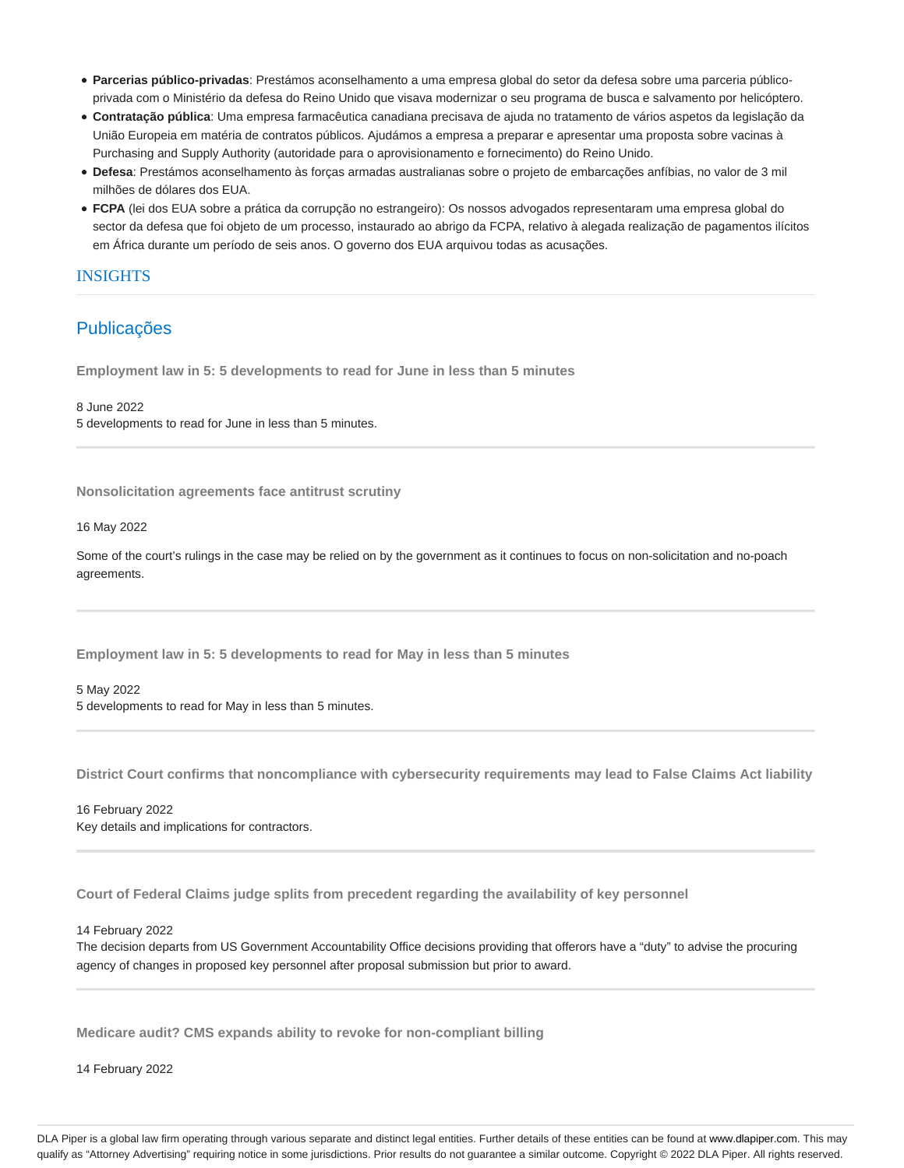- **Parcerias público-privadas**: Prestámos aconselhamento a uma empresa global do setor da defesa sobre uma parceria públicoprivada com o Ministério da defesa do Reino Unido que visava modernizar o seu programa de busca e salvamento por helicóptero.
- **Contratação pública**: Uma empresa farmacêutica canadiana precisava de ajuda no tratamento de vários aspetos da legislação da União Europeia em matéria de contratos públicos. Ajudámos a empresa a preparar e apresentar uma proposta sobre vacinas à Purchasing and Supply Authority (autoridade para o aprovisionamento e fornecimento) do Reino Unido.
- **Defesa**: Prestámos aconselhamento às forças armadas australianas sobre o projeto de embarcações anfíbias, no valor de 3 mil milhões de dólares dos EUA.
- **FCPA** (lei dos EUA sobre a prática da corrupção no estrangeiro): Os nossos advogados representaram uma empresa global do sector da defesa que foi objeto de um processo, instaurado ao abrigo da FCPA, relativo à alegada realização de pagamentos ilícitos em África durante um período de seis anos. O governo dos EUA arquivou todas as acusações.

## INSIGHTS

## Publicações

**Employment law in 5: 5 developments to read for June in less than 5 minutes**

8 June 2022 5 developments to read for June in less than 5 minutes.

**Nonsolicitation agreements face antitrust scrutiny**

16 May 2022

Some of the court's rulings in the case may be relied on by the government as it continues to focus on non-solicitation and no-poach agreements.

**Employment law in 5: 5 developments to read for May in less than 5 minutes**

5 May 2022 5 developments to read for May in less than 5 minutes.

**District Court confirms that noncompliance with cybersecurity requirements may lead to False Claims Act liability**

16 February 2022 Key details and implications for contractors.

**Court of Federal Claims judge splits from precedent regarding the availability of key personnel**

14 February 2022

The decision departs from US Government Accountability Office decisions providing that offerors have a "duty" to advise the procuring agency of changes in proposed key personnel after proposal submission but prior to award.

**Medicare audit? CMS expands ability to revoke for non-compliant billing**

14 February 2022

DLA Piper is a global law firm operating through various separate and distinct legal entities. Further details of these entities can be found at www.dlapiper.com. This may qualify as "Attorney Advertising" requiring notice in some jurisdictions. Prior results do not guarantee a similar outcome. Copyright © 2022 DLA Piper. All rights reserved.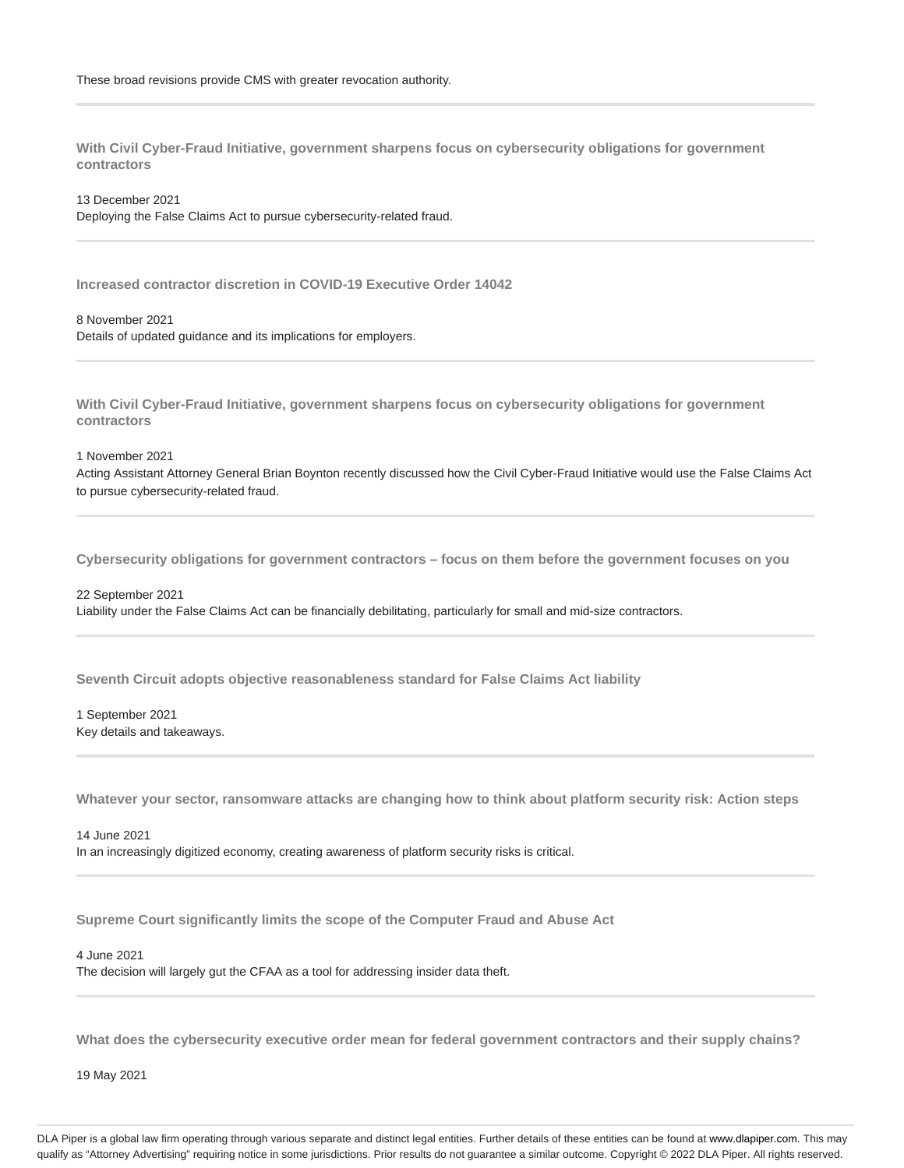**With Civil Cyber-Fraud Initiative, government sharpens focus on cybersecurity obligations for government contractors**

13 December 2021

Deploying the False Claims Act to pursue cybersecurity-related fraud.

**Increased contractor discretion in COVID-19 Executive Order 14042**

8 November 2021 Details of updated guidance and its implications for employers.

**With Civil Cyber-Fraud Initiative, government sharpens focus on cybersecurity obligations for government contractors**

1 November 2021

Acting Assistant Attorney General Brian Boynton recently discussed how the Civil Cyber-Fraud Initiative would use the False Claims Act to pursue cybersecurity-related fraud.

**Cybersecurity obligations for government contractors – focus on them before the government focuses on you**

22 September 2021 Liability under the False Claims Act can be financially debilitating, particularly for small and mid-size contractors.

**Seventh Circuit adopts objective reasonableness standard for False Claims Act liability**

1 September 2021 Key details and takeaways.

**Whatever your sector, ransomware attacks are changing how to think about platform security risk: Action steps**

14 June 2021 In an increasingly digitized economy, creating awareness of platform security risks is critical.

**Supreme Court significantly limits the scope of the Computer Fraud and Abuse Act**

4 June 2021

The decision will largely gut the CFAA as a tool for addressing insider data theft.

**What does the cybersecurity executive order mean for federal government contractors and their supply chains?**

19 May 2021

DLA Piper is a global law firm operating through various separate and distinct legal entities. Further details of these entities can be found at www.dlapiper.com. This may qualify as "Attorney Advertising" requiring notice in some jurisdictions. Prior results do not guarantee a similar outcome. Copyright @ 2022 DLA Piper. All rights reserved.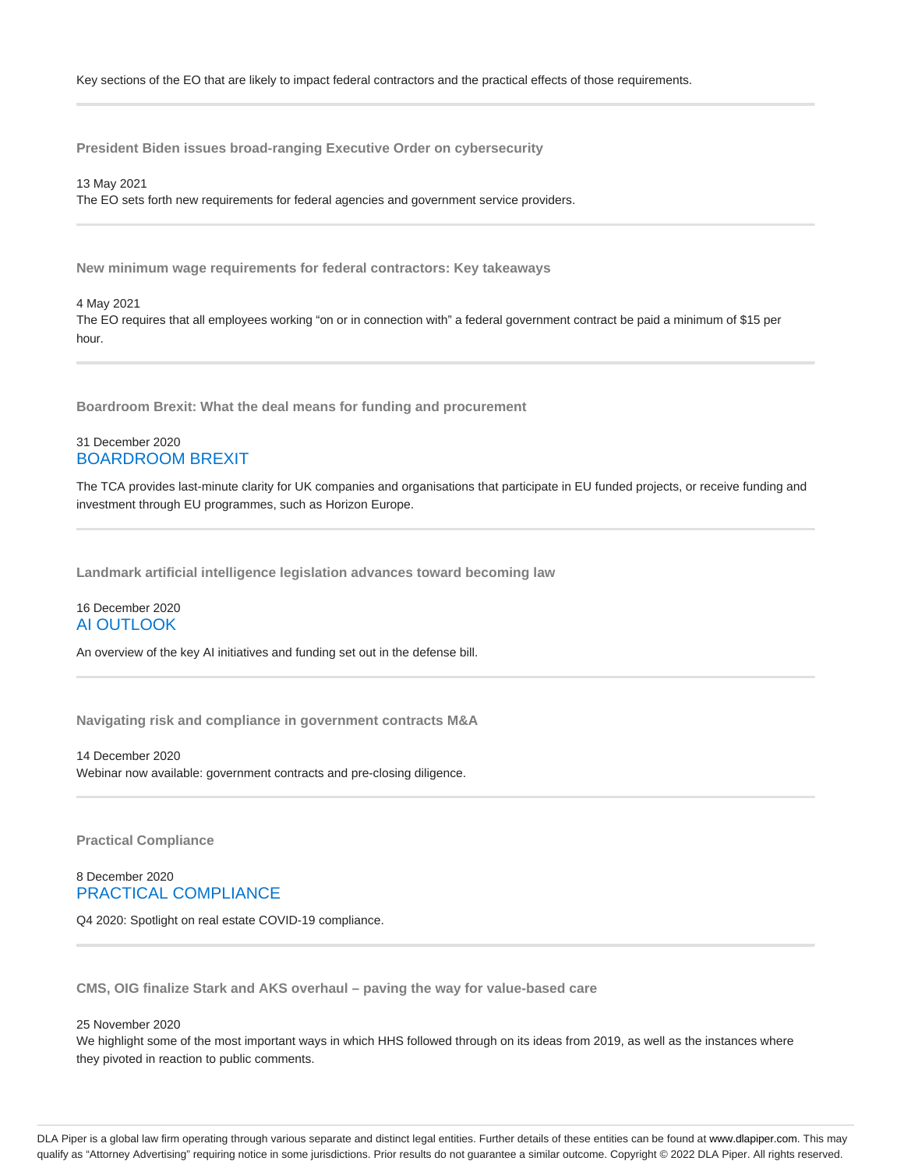**President Biden issues broad-ranging Executive Order on cybersecurity**

13 May 2021 The EO sets forth new requirements for federal agencies and government service providers.

**New minimum wage requirements for federal contractors: Key takeaways**

4 May 2021

The EO requires that all employees working "on or in connection with" a federal government contract be paid a minimum of \$15 per hour.

**Boardroom Brexit: What the deal means for funding and procurement**

## 31 December 2020 BOARDROOM BREXIT

The TCA provides last-minute clarity for UK companies and organisations that participate in EU funded projects, or receive funding and investment through EU programmes, such as Horizon Europe.

**Landmark artificial intelligence legislation advances toward becoming law**

## 16 December 2020 AI OUTLOOK

An overview of the key AI initiatives and funding set out in the defense bill.

**Navigating risk and compliance in government contracts M&A**

14 December 2020 Webinar now available: government contracts and pre-closing diligence.

**Practical Compliance**

8 December 2020 PRACTICAL COMPLIANCE

Q4 2020: Spotlight on real estate COVID-19 compliance.

**CMS, OIG finalize Stark and AKS overhaul – paving the way for value-based care**

25 November 2020

We highlight some of the most important ways in which HHS followed through on its ideas from 2019, as well as the instances where they pivoted in reaction to public comments.

DLA Piper is a global law firm operating through various separate and distinct legal entities. Further details of these entities can be found at www.dlapiper.com. This may qualify as "Attorney Advertising" requiring notice in some jurisdictions. Prior results do not guarantee a similar outcome. Copyright @ 2022 DLA Piper. All rights reserved.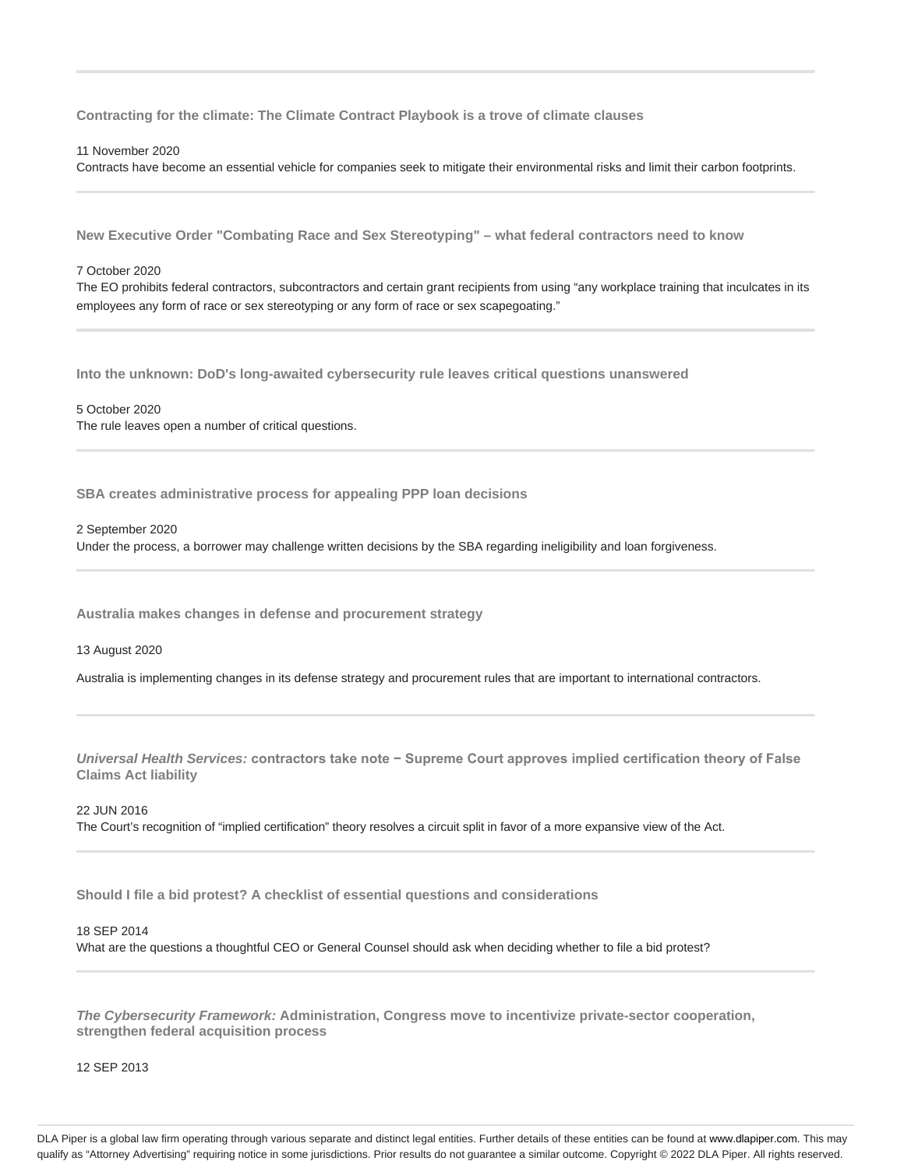**Contracting for the climate: The Climate Contract Playbook is a trove of climate clauses**

#### 11 November 2020

Contracts have become an essential vehicle for companies seek to mitigate their environmental risks and limit their carbon footprints.

**New Executive Order "Combating Race and Sex Stereotyping" – what federal contractors need to know**

#### 7 October 2020

The EO prohibits federal contractors, subcontractors and certain grant recipients from using "any workplace training that inculcates in its employees any form of race or sex stereotyping or any form of race or sex scapegoating."

**Into the unknown: DoD's long-awaited cybersecurity rule leaves critical questions unanswered**

#### 5 October 2020

The rule leaves open a number of critical questions.

**SBA creates administrative process for appealing PPP loan decisions**

#### 2 September 2020

Under the process, a borrower may challenge written decisions by the SBA regarding ineligibility and loan forgiveness.

**Australia makes changes in defense and procurement strategy**

#### 13 August 2020

Australia is implementing changes in its defense strategy and procurement rules that are important to international contractors.

**Universal Health Services: contractors take note − Supreme Court approves implied certification theory of False Claims Act liability**

#### 22 JUN 2016

The Court's recognition of "implied certification" theory resolves a circuit split in favor of a more expansive view of the Act.

**Should I file a bid protest? A checklist of essential questions and considerations**

#### 18 SEP 2014

What are the questions a thoughtful CEO or General Counsel should ask when deciding whether to file a bid protest?

**The Cybersecurity Framework: Administration, Congress move to incentivize private-sector cooperation, strengthen federal acquisition process**

12 SEP 2013

DLA Piper is a global law firm operating through various separate and distinct legal entities. Further details of these entities can be found at www.dlapiper.com. This may qualify as "Attorney Advertising" requiring notice in some jurisdictions. Prior results do not guarantee a similar outcome. Copyright @ 2022 DLA Piper. All rights reserved.